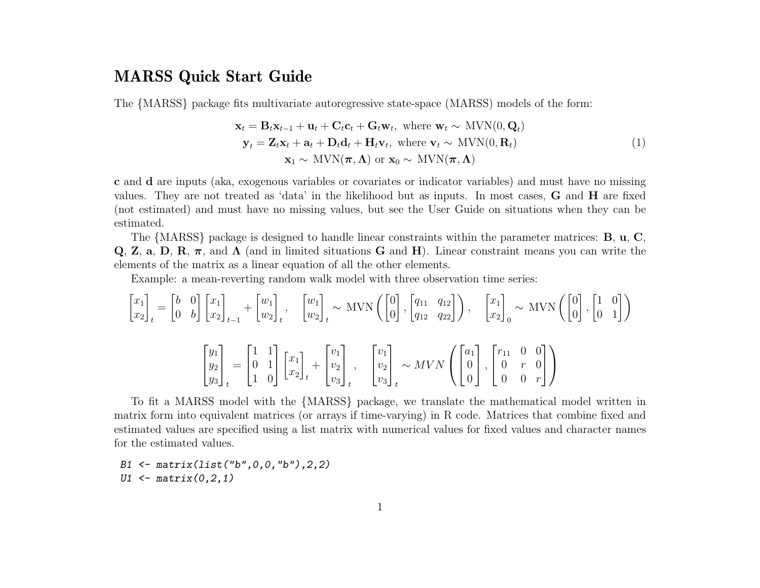#### MARSS Quick Start Guide

The {MARSS} package fits multivariate autoregressive state-space (MARSS) models of the form:

<span id="page-0-0"></span>
$$
\mathbf{x}_{t} = \mathbf{B}_{t}\mathbf{x}_{t-1} + \mathbf{u}_{t} + \mathbf{C}_{t}\mathbf{c}_{t} + \mathbf{G}_{t}\mathbf{w}_{t}, \text{ where } \mathbf{w}_{t} \sim \text{MVN}(0, \mathbf{Q}_{t})
$$
\n
$$
\mathbf{y}_{t} = \mathbf{Z}_{t}\mathbf{x}_{t} + \mathbf{a}_{t} + \mathbf{D}_{t}\mathbf{d}_{t} + \mathbf{H}_{t}\mathbf{v}_{t}, \text{ where } \mathbf{v}_{t} \sim \text{MVN}(0, \mathbf{R}_{t})
$$
\n
$$
\mathbf{x}_{1} \sim \text{MVN}(\boldsymbol{\pi}, \boldsymbol{\Lambda}) \text{ or } \mathbf{x}_{0} \sim \text{MVN}(\boldsymbol{\pi}, \boldsymbol{\Lambda})
$$
\n(1)

c and d are inputs (aka, exogenous variables or covariates or indicator variables) and must have no missing values. They are not treated as 'data' in the likelihood but as inputs. In most cases, G and H are fixed (not estimated) and must have no missing values, but see the User Guide on situations when they can be estimated.

The {MARSS} package is designed to handle linear constraints within the parameter matrices: B, u, C, Q, Z, a, D, R,  $\pi$ , and  $\Lambda$  (and in limited situations G and H). Linear constraint means you can write the elements of the matrix as a linear equation of all the other elements.

Example: a mean-reverting random walk model with three observation time series:

$$
\begin{bmatrix} x_1 \\ x_2 \end{bmatrix}_t = \begin{bmatrix} b & 0 \\ 0 & b \end{bmatrix} \begin{bmatrix} x_1 \\ x_2 \end{bmatrix}_{t-1} + \begin{bmatrix} w_1 \\ w_2 \end{bmatrix}_t, \quad \begin{bmatrix} w_1 \\ w_2 \end{bmatrix}_t \sim \text{MVN}\left(\begin{bmatrix} 0 \\ 0 \end{bmatrix}, \begin{bmatrix} q_{11} & q_{12} \\ q_{12} & q_{22} \end{bmatrix}\right), \quad \begin{bmatrix} x_1 \\ x_2 \end{bmatrix}_0 \sim \text{MVN}\left(\begin{bmatrix} 0 \\ 0 \end{bmatrix}, \begin{bmatrix} 1 & 0 \\ 0 & 1 \end{bmatrix}\right)
$$

$$
\begin{bmatrix} y_1 \\ y_2 \\ y_3 \end{bmatrix}_t = \begin{bmatrix} 1 & 1 \\ 0 & 1 \\ 1 & 0 \end{bmatrix} \begin{bmatrix} x_1 \\ x_2 \end{bmatrix}_t + \begin{bmatrix} v_1 \\ v_2 \\ v_3 \end{bmatrix}_t, \quad \begin{bmatrix} v_1 \\ v_2 \\ v_3 \end{bmatrix}_t \sim MVN\left(\begin{bmatrix} a_1 \\ 0 \\ 0 \end{bmatrix}, \begin{bmatrix} r_{11} & 0 & 0 \\ 0 & r & 0 \\ 0 & 0 & r \end{bmatrix}\right)
$$

To fit a MARSS model with the {MARSS} package, we translate the mathematical model written in matrix form into equivalent matrices (or arrays if time-varying) in R code. Matrices that combine fixed and estimated values are specified using a list matrix with numerical values for fixed values and character names for the estimated values.

B1 <- matrix(list("b",0,0,"b"),2,2) U1  $\leftarrow$  matrix $(0, 2, 1)$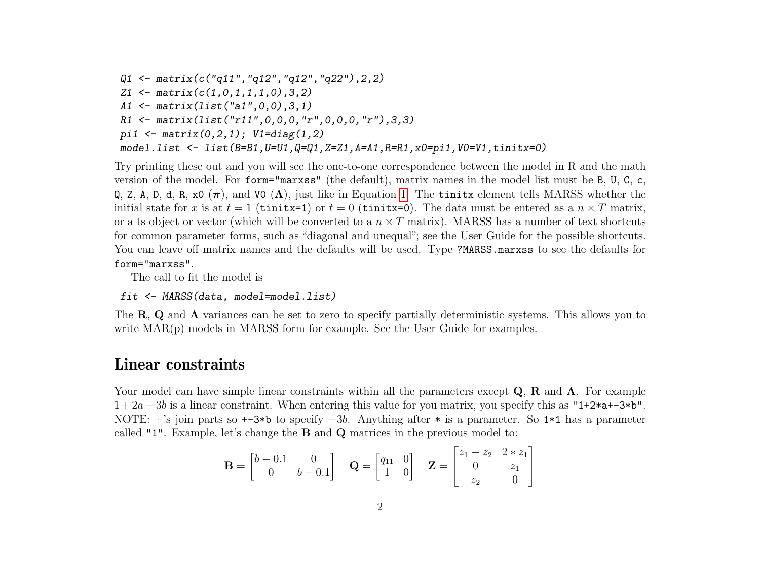```
Q1 \leftarrow matrix(c("q11", "q12", "q12", "q22"), 2, 2)Z1 \leftarrow matrix(c(1,0,1,1,1,0), 3, 2)
A1 <- matrix(list("a1",0,0),3,1)
R1 \leftarrow matrix(list("r11", 0, 0, 0, "r", 0, 0, 0, "r"), 3, 3)pi1 <- matrix(0,2,1); V1 = diag(1,2)model.list <- list(B=B1,U=U1,Q=Q1,Z=Z1,A=A1,R=R1,x0=pi1,V0=V1,tinitx=0)
```
Try printing these out and you will see the one-to-one correspondence between the model in R and the math version of the model. For form="marxss" (the default), matrix names in the model list must be B, U, C, c, Q, Z, A, D, d, R, x0  $(\pi)$ , and V0  $(\Lambda)$ , just like in Equation [1.](#page-0-0) The tinits element tells MARSS whether the initial state for x is at  $t = 1$  (tinitx=1) or  $t = 0$  (tinitx=0). The data must be entered as a  $n \times T$  matrix, or a ts object or vector (which will be converted to a  $n \times T$  matrix). MARSS has a number of text shortcuts for common parameter forms, such as "diagonal and unequal"; see the User Guide for the possible shortcuts. You can leave off matrix names and the defaults will be used. Type ?MARSS.marxss to see the defaults for form="marxss".

The call to fit the model is

fit <- MARSS(data, model=model.list)

The R, Q and  $\Lambda$  variances can be set to zero to specify partially deterministic systems. This allows you to write  $MAR(p)$  models in MARSS form for example. See the User Guide for examples.

#### Linear constraints

Your model can have simple linear constraints within all the parameters except  $\bf Q, \bf R$  and  $\bf \Lambda$ . For example  $1+2a-3b$  is a linear constraint. When entering this value for you matrix, you specify this as "1+2\*a+-3\*b". NOTE: +'s join parts so +-3\*b to specify −3b. Anything after \* is a parameter. So 1\*1 has a parameter called "1". Example, let's change the B and Q matrices in the previous model to:

$$
\mathbf{B} = \begin{bmatrix} b - 0.1 & 0 \\ 0 & b + 0.1 \end{bmatrix} \quad \mathbf{Q} = \begin{bmatrix} q_{11} & 0 \\ 1 & 0 \end{bmatrix} \quad \mathbf{Z} = \begin{bmatrix} z_1 - z_2 & 2 * z_1 \\ 0 & z_1 \\ z_2 & 0 \end{bmatrix}
$$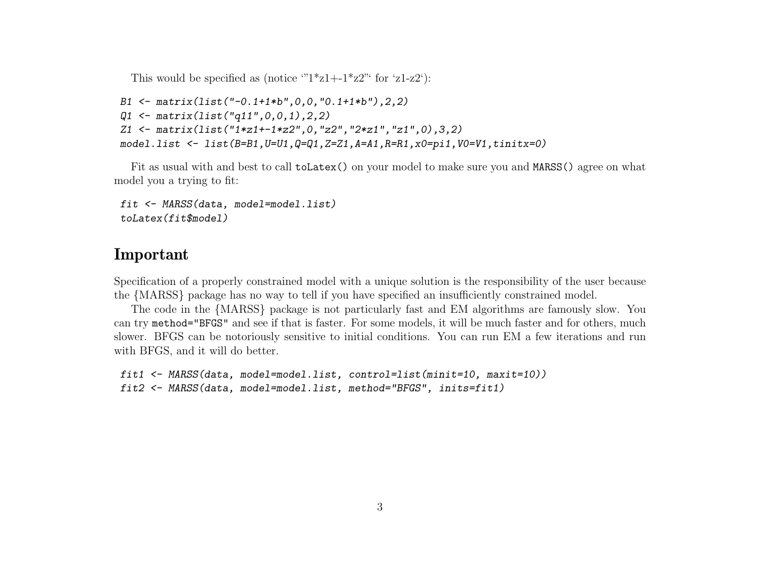This would be specified as (notice " $1 \times z1 + 1 \times z2$ " for 'z1-z2'):

```
B1 \leq matrix(list("-0.1+1*b", 0, 0, "0.1+1*b"), 2, 2)
Q1 \leftarrow matrix(Iist("q11", 0, 0, 1), 2, 2)Z1 <- matrix(list("1*z1+-1*z2",0,"z2","2*z1","z1",0),3,2)
model.list <- list(B=B1, U=U1, Q=Q1, Z=Z1, A=A1, R=R1, x0=pi1, V0=V1, tinitx=0)
```
Fit as usual with and best to call toLatex() on your model to make sure you and MARSS() agree on what model you a trying to fit:

```
fit <- MARSS(data, model=model.list)
toLatex(fit$model)
```
# Important

Specification of a properly constrained model with a unique solution is the responsibility of the user because the {MARSS} package has no way to tell if you have specified an insufficiently constrained model.

The code in the {MARSS} package is not particularly fast and EM algorithms are famously slow. You can try method="BFGS" and see if that is faster. For some models, it will be much faster and for others, much slower. BFGS can be notoriously sensitive to initial conditions. You can run EM a few iterations and run with BFGS, and it will do better.

```
fit1 <- MARSS(data, model=model.list, control=list(minit=10, maxit=10))
fit2 <- MARSS(data, model=model.list, method="BFGS", inits=fit1)
```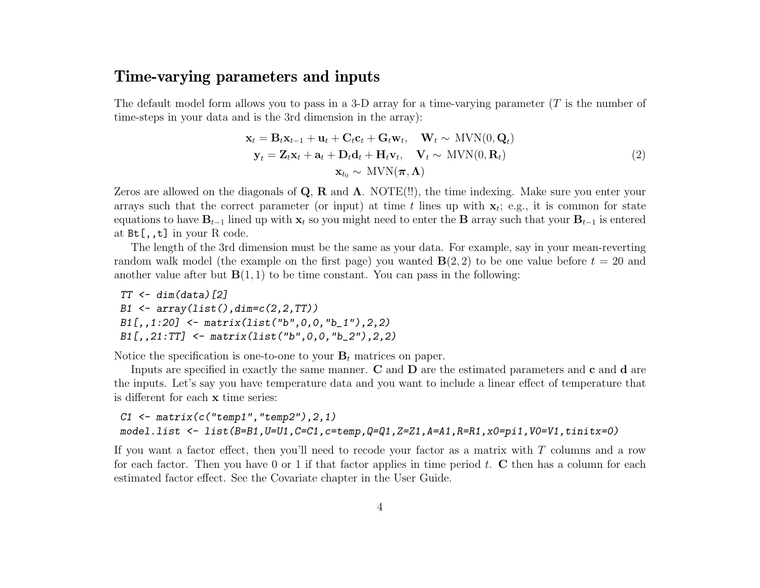## Time-varying parameters and inputs

The default model form allows you to pass in a 3-D array for a time-varying parameter  $(T$  is the number of time-steps in your data and is the 3rd dimension in the array):

$$
\mathbf{x}_{t} = \mathbf{B}_{t}\mathbf{x}_{t-1} + \mathbf{u}_{t} + \mathbf{C}_{t}\mathbf{c}_{t} + \mathbf{G}_{t}\mathbf{w}_{t}, \quad \mathbf{W}_{t} \sim \text{MVN}(0, \mathbf{Q}_{t}) \n\mathbf{y}_{t} = \mathbf{Z}_{t}\mathbf{x}_{t} + \mathbf{a}_{t} + \mathbf{D}_{t}\mathbf{d}_{t} + \mathbf{H}_{t}\mathbf{v}_{t}, \quad \mathbf{V}_{t} \sim \text{MVN}(0, \mathbf{R}_{t}) \n\mathbf{x}_{t_{0}} \sim \text{MVN}(\boldsymbol{\pi}, \boldsymbol{\Lambda})
$$
\n(2)

Zeros are allowed on the diagonals of  $\mathbf{Q}$ ,  $\mathbf{R}$  and  $\mathbf{\Lambda}$ . NOTE(!!), the time indexing. Make sure you enter your arrays such that the correct parameter (or input) at time t lines up with  $x_t$ ; e.g., it is common for state equations to have  $B_{t-1}$  lined up with  $x_t$  so you might need to enter the B array such that your  $B_{t-1}$  is entered at Bt[,,t] in your R code.

The length of the 3rd dimension must be the same as your data. For example, say in your mean-reverting random walk model (the example on the first page) you wanted  $\mathbf{B}(2, 2)$  to be one value before  $t = 20$  and another value after but  $\mathbf{B}(1,1)$  to be time constant. You can pass in the following:

 $TT < - dim(data)$ [2]  $B1 \leftarrow array(list(),dim=c(2,2,TT))$  $B1[,, 1:20]$  <- matrix(list("b", 0, 0, "b\_1"), 2, 2) B1[,,21:TT] <- matrix(list("b",0,0,"b\_2"),2,2)

Notice the specification is one-to-one to your  $B_t$  matrices on paper.

Inputs are specified in exactly the same manner. C and D are the estimated parameters and c and d are the inputs. Let's say you have temperature data and you want to include a linear effect of temperature that is different for each x time series:

C1  $\leq$  matrix(c("temp1","temp2"), 2, 1) model.list <- list(B=B1,U=U1,C=C1,c=temp,Q=Q1,Z=Z1,A=A1,R=R1,x0=pi1,V0=V1,tinitx=0)

If you want a factor effect, then you'll need to recode your factor as a matrix with  $T$  columns and a row for each factor. Then you have 0 or 1 if that factor applies in time period  $t$ . C then has a column for each estimated factor effect. See the Covariate chapter in the User Guide.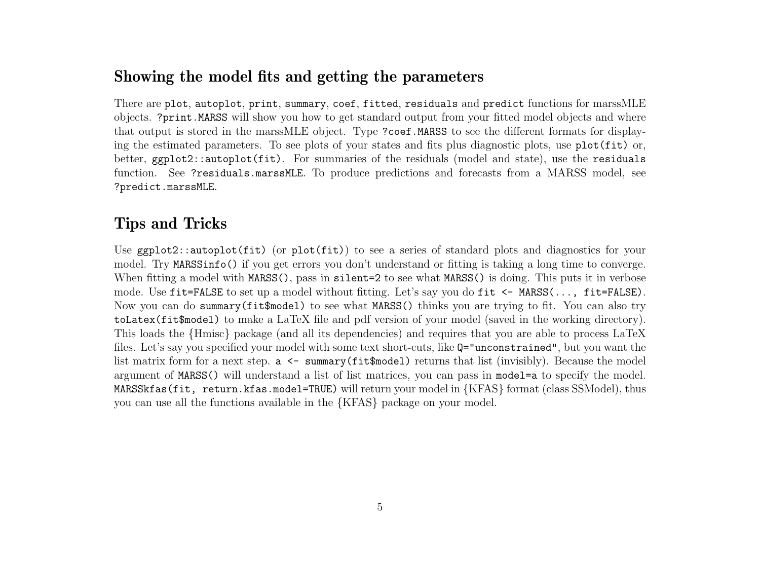# Showing the model fits and getting the parameters

There are plot, autoplot, print, summary, coef, fitted, residuals and predict functions for marssMLE objects. ?print.MARSS will show you how to get standard output from your fitted model objects and where that output is stored in the marssMLE object. Type ?coef.MARSS to see the different formats for displaying the estimated parameters. To see plots of your states and fits plus diagnostic plots, use plot(fit) or, better, ggplot2::autoplot(fit). For summaries of the residuals (model and state), use the residuals function. See ?residuals.marssMLE. To produce predictions and forecasts from a MARSS model, see ?predict.marssMLE.

# Tips and Tricks

Use ggplot2::autoplot(fit) (or plot(fit)) to see a series of standard plots and diagnostics for your model. Try MARSSinfo() if you get errors you don't understand or fitting is taking a long time to converge. When fitting a model with MARSS(), pass in silent=2 to see what MARSS() is doing. This puts it in verbose mode. Use fit=FALSE to set up a model without fitting. Let's say you do fit <- MARSS(..., fit=FALSE). Now you can do summary(fit\$model) to see what MARSS() thinks you are trying to fit. You can also try toLatex(fit\$model) to make a LaTeX file and pdf version of your model (saved in the working directory). This loads the {Hmisc} package (and all its dependencies) and requires that you are able to process LaTeX files. Let's say you specified your model with some text short-cuts, like Q="unconstrained", but you want the list matrix form for a next step.  $a \leq \text{summary(fit$model)}$  returns that list (invisibly). Because the model argument of MARSS() will understand a list of list matrices, you can pass in model=a to specify the model. MARSSkfas(fit, return.kfas.model=TRUE) will return your model in {KFAS} format (class SSModel), thus you can use all the functions available in the {KFAS} package on your model.